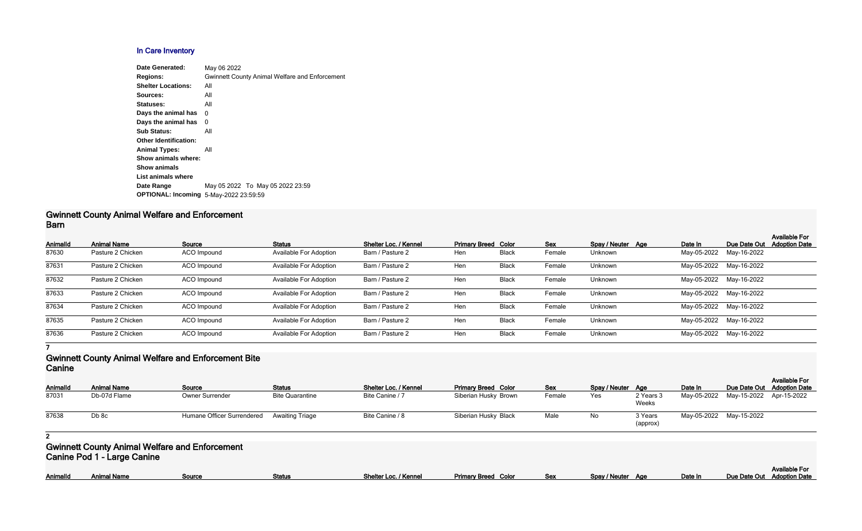# **In Care Inventory**

| <b>Date Generated:</b>                        | May 06 2022                                           |
|-----------------------------------------------|-------------------------------------------------------|
| <b>Regions:</b>                               | <b>Gwinnett County Animal Welfare and Enforcement</b> |
| <b>Shelter Locations:</b>                     | All                                                   |
| Sources:                                      | All                                                   |
| Statuses:                                     | All                                                   |
| Days the animal has                           | 0                                                     |
| Days the animal has                           | 0                                                     |
| <b>Sub Status:</b>                            | All                                                   |
| <b>Other Identification:</b>                  |                                                       |
| <b>Animal Types:</b>                          | All                                                   |
| Show animals where:                           |                                                       |
| <b>Show animals</b>                           |                                                       |
| List animals where                            |                                                       |
| Date Range                                    | May 05 2022 To May 05 2022 23:59                      |
| <b>OPTIONAL: Incoming 5-May-2022 23:59:59</b> |                                                       |
|                                               |                                                       |

### **Gwinnett County Animal Welfare and Enforcement Barn**

| Animalld | <b>Animal Name</b> | Source             | <b>Status</b>                 | Shelter Loc. / Kennel | <b>Primary Breed Color</b> |              | <b>Sex</b> | Spay / Neuter Age | Date In                 | Due Date Out            | <b>Available For</b><br><b>Adoption Date</b> |
|----------|--------------------|--------------------|-------------------------------|-----------------------|----------------------------|--------------|------------|-------------------|-------------------------|-------------------------|----------------------------------------------|
| 87630    | Pasture 2 Chicken  | ACO Impound        | Available For Adoption        | Barn / Pasture 2      | Hen                        | <b>Black</b> | Female     | Unknown           | May-05-2022             | May-16-2022             |                                              |
| 87631    | Pasture 2 Chicken  | ACO Impound        | <b>Available For Adoption</b> | Barn / Pasture 2      | Hen                        | <b>Black</b> | Female     | Unknown           |                         | May-05-2022 May-16-2022 |                                              |
| 87632    | Pasture 2 Chicken  | ACO Impound        | Available For Adoption        | Barn / Pasture 2      | Hen                        | <b>Black</b> | Female     | Unknown           |                         | May-05-2022 May-16-2022 |                                              |
| 87633    | Pasture 2 Chicken  | ACO Impound        | <b>Available For Adoption</b> | Barn / Pasture 2      | Hen                        | <b>Black</b> | Female     | Unknown           |                         | May-05-2022 May-16-2022 |                                              |
| 87634    | Pasture 2 Chicken  | ACO Impound        | <b>Available For Adoption</b> | Barn / Pasture 2      | Hen                        | <b>Black</b> | Female     | Unknown           |                         | May-05-2022 May-16-2022 |                                              |
| 87635    | Pasture 2 Chicken  | <b>ACO</b> Impound | <b>Available For Adoption</b> | Barn / Pasture 2      | Hen                        | <b>Black</b> | Female     | Unknown           |                         | May-05-2022 May-16-2022 |                                              |
| 87636    | Pasture 2 Chicken  | ACO Impound        | <b>Available For Adoption</b> | Barn / Pasture 2      | Hen                        | <b>Black</b> | Female     | Unknown           | May-05-2022 May-16-2022 |                         |                                              |

**7**

### **Gwinnett County Animal Welfare and Enforcement Bite Canine**

| <b>Animal Name</b> | Source                 | <b>Status</b>          | Shelter Loc. / Kennel                      | <b>Primary Breed Color</b> | <b>Sex</b> |     |                     | Date In           | <b>Available For</b>                                                                         |
|--------------------|------------------------|------------------------|--------------------------------------------|----------------------------|------------|-----|---------------------|-------------------|----------------------------------------------------------------------------------------------|
| Db-07d Flame       | <b>Owner Surrender</b> | <b>Bite Quarantine</b> | Bite Canine / 7                            | Siberian Husky Brown       | Female     | Yes | 2 Years 3<br>Weeks  |                   |                                                                                              |
| Db 8c              |                        |                        | Bite Canine / 8                            | Siberian Husky Black       | Male       | No  | 3 Years<br>(approx) |                   |                                                                                              |
|                    |                        |                        | Humane Officer Surrendered Awaiting Triage |                            |            |     |                     | Spay / Neuter Age | Due Date Out Adoption Date<br>May-05-2022 May-15-2022 Apr-15-2022<br>May-05-2022 May-15-2022 |

#### **2**

## **Gwinnett County Animal Welfare and Enforcement Canine Pod 1 - Large Canine**

| Shelter Loc. / Kennel<br>Animallo<br>/ Neuter<br>Date In<br><b>Primary Breed</b><br>Animal Name<br>Sex<br>Status<br>Color<br>80 L<br>Aa<br>snav | <b>Date Out</b><br>Due: |
|-------------------------------------------------------------------------------------------------------------------------------------------------|-------------------------|
|-------------------------------------------------------------------------------------------------------------------------------------------------|-------------------------|

|               |     |         | <b>Available For</b>       |
|---------------|-----|---------|----------------------------|
| Spay / Neuter | Aae | Date In | Due Date Out Adoption Date |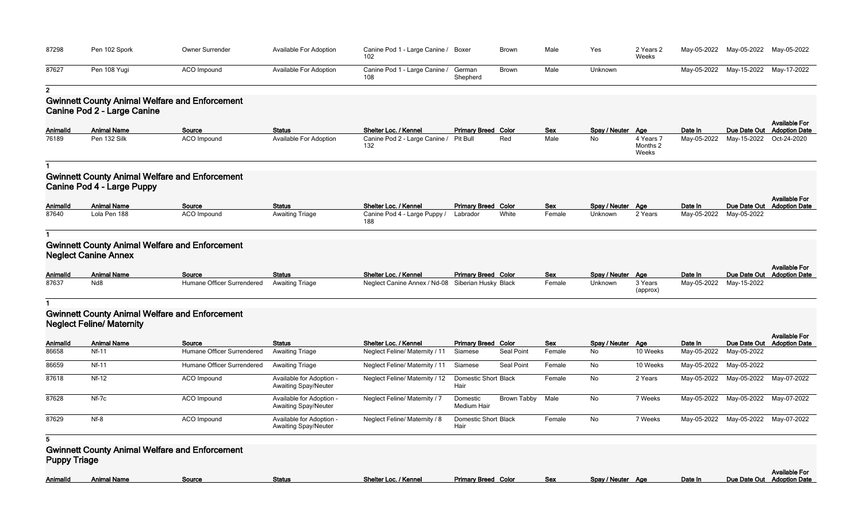| 87298               | Pen 102 Spork                    | Owner Surrender                                       | Available For Adoption                                  | Canine Pod 1 - Large Canine / Boxer<br>102 |                                     | <b>Brown</b>       | Male          | Yes                     | 2 Years 2<br>Weeks             |                        | May-05-2022 May-05-2022 May-05-2022 |                                                    |
|---------------------|----------------------------------|-------------------------------------------------------|---------------------------------------------------------|--------------------------------------------|-------------------------------------|--------------------|---------------|-------------------------|--------------------------------|------------------------|-------------------------------------|----------------------------------------------------|
| 87627               | Pen 108 Yugi                     | ACO Impound                                           | Available For Adoption                                  | Canine Pod 1 - Large Canine /<br>108       | German<br>Shepherd                  | Brown              | Male          | Unknown                 |                                | May-05-2022            | May-15-2022                         | May-17-2022                                        |
| 2 <sub>1</sub>      |                                  |                                                       |                                                         |                                            |                                     |                    |               |                         |                                |                        |                                     |                                                    |
|                     |                                  | <b>Gwinnett County Animal Welfare and Enforcement</b> |                                                         |                                            |                                     |                    |               |                         |                                |                        |                                     |                                                    |
|                     | Canine Pod 2 - Large Canine      |                                                       |                                                         |                                            |                                     |                    |               |                         |                                |                        |                                     |                                                    |
|                     |                                  |                                                       |                                                         |                                            |                                     |                    |               |                         |                                |                        |                                     | <b>Available For</b>                               |
| Animalld            | <b>Animal Name</b>               | Source                                                | <b>Status</b>                                           | Shelter Loc. / Kennel                      | <b>Primary Breed Color</b>          |                    | <b>Sex</b>    | Spay / Neuter Age       |                                | Date In                | Due Date Out                        | <b>Adoption Date</b>                               |
| 76189               | Pen 132 Silk                     | <b>ACO</b> Impound                                    | Available For Adoption                                  | Canine Pod 2 - Large Canine /<br>132       | Pit Bull                            | Red                | Male          | No                      | 4 Years 7<br>Months 2<br>Weeks | May-05-2022            | May-15-2022                         | Oct-24-2020                                        |
|                     |                                  |                                                       |                                                         |                                            |                                     |                    |               |                         |                                |                        |                                     |                                                    |
|                     | Canine Pod 4 - Large Puppy       | <b>Gwinnett County Animal Welfare and Enforcement</b> |                                                         |                                            |                                     |                    |               |                         |                                |                        |                                     |                                                    |
| AnimalId            | <b>Animal Name</b>               | Source                                                | <b>Status</b>                                           | Shelter Loc. / Kennel                      | <b>Primary Breed Color</b>          |                    | Sex           | Spay / Neuter Age       |                                | Date In                | Due Date Out                        | <b>Available For</b><br><b>Adoption Date</b>       |
| 87640               | Lola Pen 188                     | ACO Impound                                           | <b>Awaiting Triage</b>                                  | Canine Pod 4 - Large Puppy /<br>188        | Labrador                            | White              | Female        | Unknown                 | 2 Years                        | May-05-2022            | May-05-2022                         |                                                    |
|                     |                                  |                                                       |                                                         |                                            |                                     |                    |               |                         |                                |                        |                                     |                                                    |
|                     | <b>Neglect Canine Annex</b>      | <b>Gwinnett County Animal Welfare and Enforcement</b> |                                                         |                                            |                                     |                    |               |                         |                                |                        |                                     |                                                    |
| Animalld            | <b>Animal Name</b>               | Source                                                | <b>Status</b>                                           | Shelter Loc. / Kennel                      | <b>Primary Breed Color</b>          |                    | Sex           | Spay / Neuter Age       |                                | Date In                |                                     | <b>Available For</b><br>Due Date Out Adoption Date |
| 87637               | Nd <sub>8</sub>                  | Humane Officer Surrendered                            | <b>Awaiting Triage</b>                                  | Neglect Canine Annex / Nd-08               | Siberian Husky Black                |                    | Female        | Unknown                 | 3 Years<br>(approx)            | May-05-2022            | May-15-2022                         |                                                    |
|                     |                                  |                                                       |                                                         |                                            |                                     |                    |               |                         |                                |                        |                                     |                                                    |
|                     | <b>Neglect Feline/ Maternity</b> | <b>Gwinnett County Animal Welfare and Enforcement</b> |                                                         |                                            |                                     |                    |               |                         |                                |                        |                                     |                                                    |
|                     |                                  |                                                       |                                                         |                                            |                                     |                    |               |                         |                                |                        |                                     | <b>Available For</b>                               |
| Animalld            | <b>Animal Name</b><br>$Nf-11$    | Source<br>Humane Officer Surrendered                  | <b>Status</b><br><b>Awaiting Triage</b>                 | Shelter Loc. / Kennel                      | <b>Primary Breed Color</b>          | <b>Seal Point</b>  | Sex<br>Female | Spay / Neuter Age<br>No | 10 Weeks                       | Date In<br>May-05-2022 | Due Date Out                        | <b>Adoption Date</b>                               |
| 86658               |                                  |                                                       |                                                         | Neglect Feline/ Maternity / 11             | Siamese                             |                    |               |                         |                                |                        | May-05-2022                         |                                                    |
| 86659               | <b>Nf-11</b>                     | Humane Officer Surrendered                            | <b>Awaiting Triage</b>                                  | Neglect Feline/ Maternity / 11             | Siamese                             | <b>Seal Point</b>  | Female        | No                      | 10 Weeks                       | May-05-2022            | May-05-2022                         |                                                    |
| 87618               | $Nf-12$                          | <b>ACO</b> Impound                                    | Available for Adoption -<br><b>Awaiting Spay/Neuter</b> | Neglect Feline/ Maternity / 12             | Domestic Short Black<br>Hair        |                    | Female        | No                      | 2 Years                        | May-05-2022            | May-05-2022                         | May-07-2022                                        |
| 87628               | Nf-7c                            | <b>ACO</b> Impound                                    | Available for Adoption -<br><b>Awaiting Spay/Neuter</b> | <b>Neglect Feline/ Maternity / 7</b>       | Domestic<br>Medium Hair             | <b>Brown Tabby</b> | Male          | No                      | 7 Weeks                        | May-05-2022            | May-05-2022                         | May-07-2022                                        |
| 87629               | $Nf-8$                           | ACO Impound                                           | Available for Adoption -<br><b>Awaiting Spay/Neuter</b> | Neglect Feline/ Maternity / 8              | <b>Domestic Short Black</b><br>Hair |                    | Female        | No                      | 7 Weeks                        |                        | May-05-2022 May-05-2022             | May-07-2022                                        |
| 5                   |                                  |                                                       |                                                         |                                            |                                     |                    |               |                         |                                |                        |                                     |                                                    |
| <b>Puppy Triage</b> |                                  | <b>Gwinnett County Animal Welfare and Enforcement</b> |                                                         |                                            |                                     |                    |               |                         |                                |                        |                                     |                                                    |
| <b>AnimalId</b>     | <b>Animal Name</b>               | Source                                                | <b>Status</b>                                           | Shelter Loc. / Kennel                      | <b>Primary Breed Color</b>          |                    | <b>Sex</b>    | Spay / Neuter Age       |                                | Date In                | Due Date Out                        | <b>Available For</b><br><b>Adoption Date</b>       |